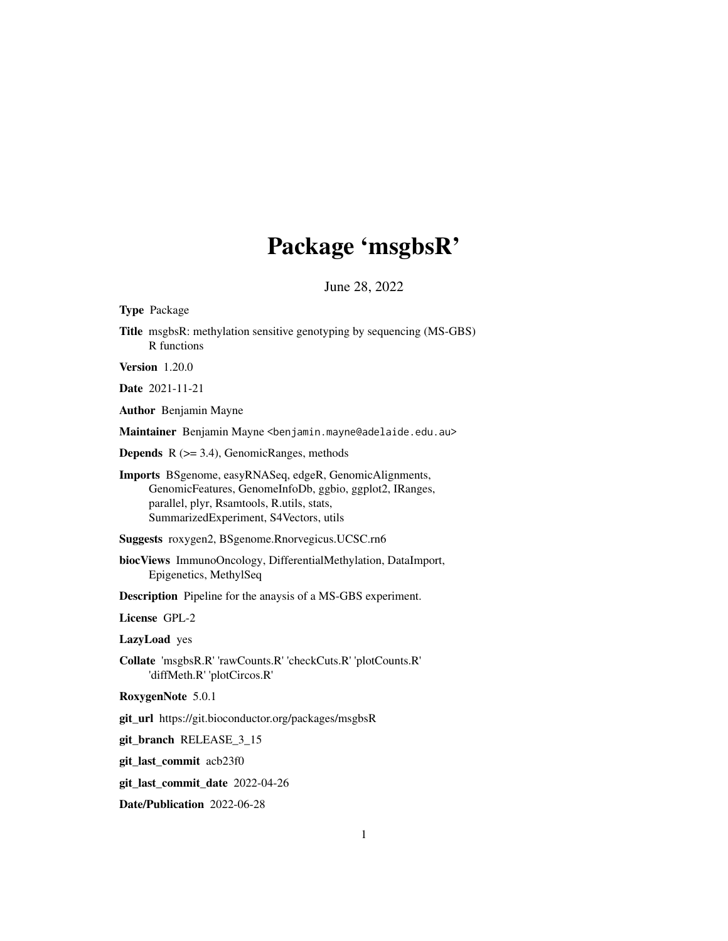## Package 'msgbsR'

 $Juno 28, 2022$ 

| JUIIC $20, 2022$                                                                                                                                                                                           |
|------------------------------------------------------------------------------------------------------------------------------------------------------------------------------------------------------------|
| Type Package                                                                                                                                                                                               |
| Title msgbsR: methylation sensitive genotyping by sequencing (MS-GBS)<br>R functions                                                                                                                       |
| Version $1.20.0$                                                                                                                                                                                           |
| Date 2021-11-21                                                                                                                                                                                            |
| <b>Author</b> Benjamin Mayne                                                                                                                                                                               |
| Maintainer Benjamin Mayne <benjamin.mayne@adelaide.edu.au></benjamin.mayne@adelaide.edu.au>                                                                                                                |
| <b>Depends</b> $R$ ( $>=$ 3.4), Genomic Ranges, methods                                                                                                                                                    |
| Imports BSgenome, easyRNASeq, edgeR, GenomicAlignments,<br>GenomicFeatures, GenomeInfoDb, ggbio, ggplot2, IRanges,<br>parallel, plyr, Rsamtools, R.utils, stats,<br>SummarizedExperiment, S4Vectors, utils |
| Suggests roxygen2, BSgenome.Rnorvegicus.UCSC.rn6                                                                                                                                                           |
| biocViews ImmunoOncology, DifferentialMethylation, DataImport,<br>Epigenetics, MethylSeq                                                                                                                   |
| <b>Description</b> Pipeline for the anaysis of a MS-GBS experiment.                                                                                                                                        |
| License GPL-2                                                                                                                                                                                              |
| LazyLoad yes                                                                                                                                                                                               |
| Collate 'msgbsR.R' 'rawCounts.R' 'checkCuts.R' 'plotCounts.R'<br>'diffMeth.R' 'plotCircos.R'                                                                                                               |
| RoxygenNote 5.0.1                                                                                                                                                                                          |
| git_url https://git.bioconductor.org/packages/msgbsR                                                                                                                                                       |
| git_branch RELEASE_3_15                                                                                                                                                                                    |
| git_last_commit acb23f0                                                                                                                                                                                    |
| git_last_commit_date 2022-04-26                                                                                                                                                                            |

Date/Publication 2022-06-28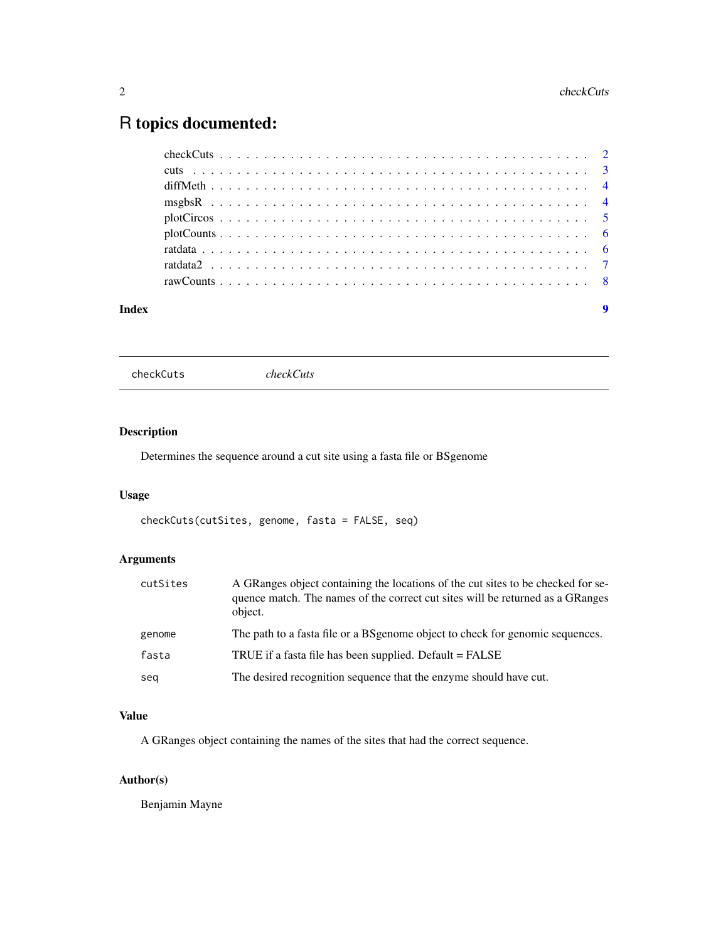### <span id="page-1-0"></span>R topics documented:

| Index |  |  |  |  |  |  |  |  |  |  |  |  |  |  | 9 |
|-------|--|--|--|--|--|--|--|--|--|--|--|--|--|--|---|

```
checkCuts checkCuts
```
#### Description

Determines the sequence around a cut site using a fasta file or BSgenome

### Usage

```
checkCuts(cutSites, genome, fasta = FALSE, seq)
```
#### Arguments

| cutSites | A GRanges object containing the locations of the cut sites to be checked for se-<br>quence match. The names of the correct cut sites will be returned as a GRanges<br>object. |
|----------|-------------------------------------------------------------------------------------------------------------------------------------------------------------------------------|
| genome   | The path to a fasta file or a BS genome object to check for genomic sequences.                                                                                                |
| fasta    | TRUE if a fasta file has been supplied. Default = FALSE                                                                                                                       |
| seq      | The desired recognition sequence that the enzyme should have cut.                                                                                                             |

#### Value

A GRanges object containing the names of the sites that had the correct sequence.

#### Author(s)

Benjamin Mayne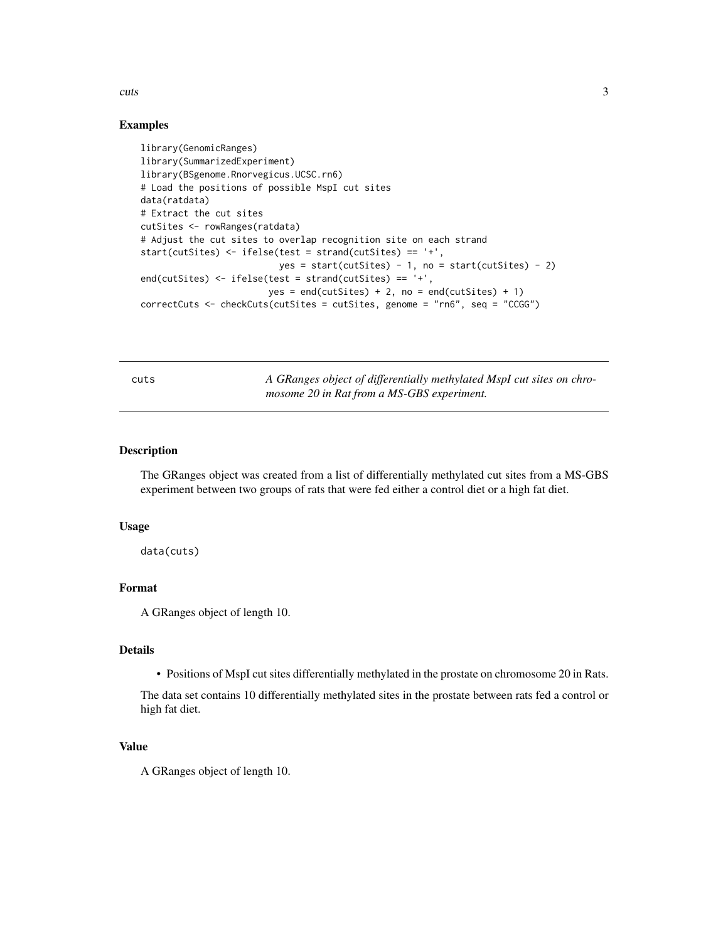<span id="page-2-0"></span>cuts 3

#### Examples

```
library(GenomicRanges)
library(SummarizedExperiment)
library(BSgenome.Rnorvegicus.UCSC.rn6)
# Load the positions of possible MspI cut sites
data(ratdata)
# Extract the cut sites
cutSites <- rowRanges(ratdata)
# Adjust the cut sites to overlap recognition site on each strand
start(cutSites) <- ifelse(test = strand(cutSites) == '+',
                         yes = start(cutStes) - 1, no = start(cutStes) - 2)end(cutSites) <- ifelse(test = strand(cutSites) == '+',
                       yes = end(cutStes) + 2, no = end(cutSites) + 1)
correctCuts <- checkCuts(cutSites = cutSites, genome = "rn6", seq = "CCGG")
```
cuts *A GRanges object of differentially methylated MspI cut sites on chromosome 20 in Rat from a MS-GBS experiment.*

#### Description

The GRanges object was created from a list of differentially methylated cut sites from a MS-GBS experiment between two groups of rats that were fed either a control diet or a high fat diet.

#### Usage

data(cuts)

#### Format

A GRanges object of length 10.

#### Details

• Positions of MspI cut sites differentially methylated in the prostate on chromosome 20 in Rats.

The data set contains 10 differentially methylated sites in the prostate between rats fed a control or high fat diet.

#### Value

A GRanges object of length 10.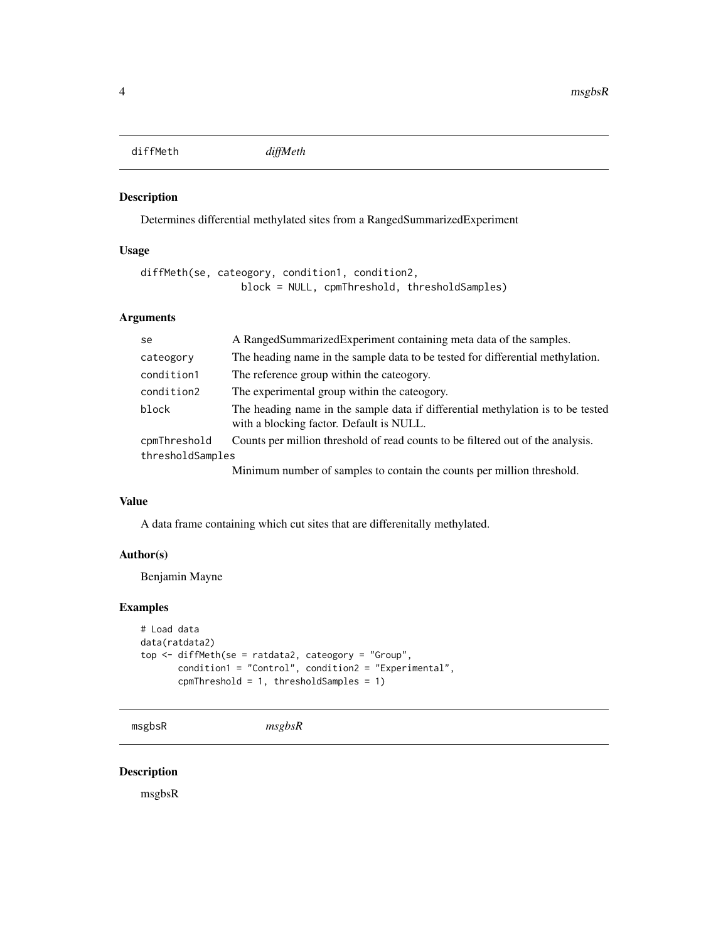<span id="page-3-0"></span>diffMeth *diffMeth*

#### Description

Determines differential methylated sites from a RangedSummarizedExperiment

#### Usage

```
diffMeth(se, cateogory, condition1, condition2,
                 block = NULL, cpmThreshold, thresholdSamples)
```
#### Arguments

| se.              | A Ranged Summarized Experiment containing meta data of the samples.                                                         |
|------------------|-----------------------------------------------------------------------------------------------------------------------------|
| cateogory        | The heading name in the sample data to be tested for differential methylation.                                              |
| condition1       | The reference group within the cateogory.                                                                                   |
| condition2       | The experimental group within the cateogory.                                                                                |
| block            | The heading name in the sample data if differential methylation is to be tested<br>with a blocking factor. Default is NULL. |
| cpmThreshold     | Counts per million threshold of read counts to be filtered out of the analysis.                                             |
| thresholdSamples |                                                                                                                             |
|                  | Minimum number of samples to contain the counts per million threshold.                                                      |

#### Value

A data frame containing which cut sites that are differenitally methylated.

#### Author(s)

Benjamin Mayne

#### Examples

```
# Load data
data(ratdata2)
top <- diffMeth(se = ratdata2, cateogory = "Group",
       condition1 = "Control", condition2 = "Experimental",
       cpmThreshold = 1, thresholdSamples = 1)
```

```
msgbsR msgbsR
```
#### Description

msgbsR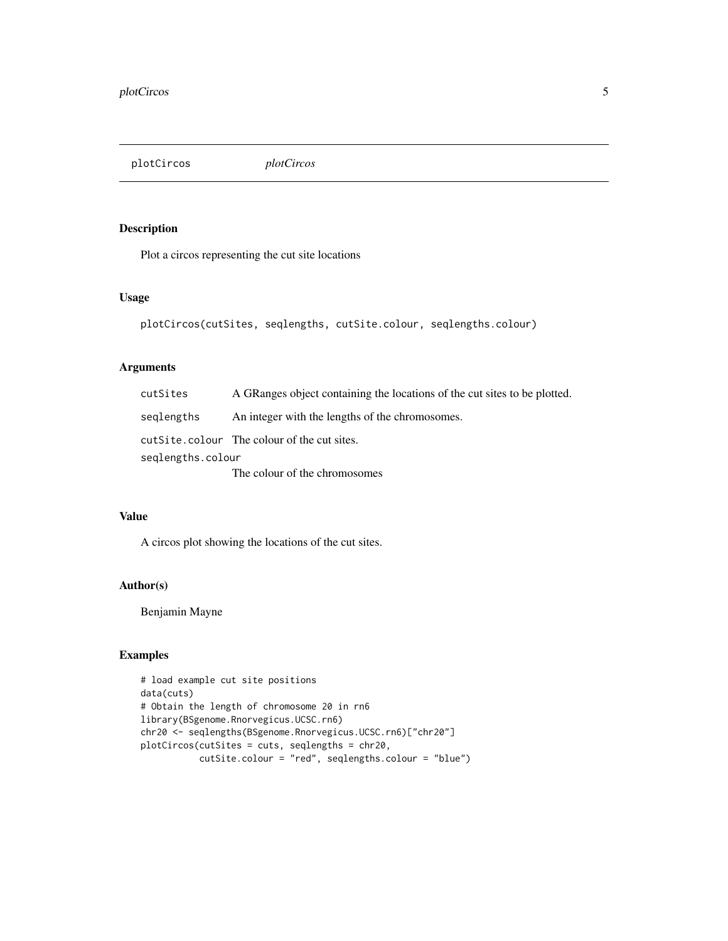<span id="page-4-0"></span>plotCircos *plotCircos*

#### Description

Plot a circos representing the cut site locations

#### Usage

```
plotCircos(cutSites, seqlengths, cutSite.colour, seqlengths.colour)
```
#### Arguments

| cutSites          | A GRanges object containing the locations of the cut sites to be plotted. |
|-------------------|---------------------------------------------------------------------------|
| seglengths        | An integer with the lengths of the chromosomes.                           |
|                   | cutSite.colour The colour of the cut sites.                               |
| seglengths.colour |                                                                           |
|                   | The colour of the chromosomes                                             |

#### Value

A circos plot showing the locations of the cut sites.

#### Author(s)

Benjamin Mayne

#### Examples

```
# load example cut site positions
data(cuts)
# Obtain the length of chromosome 20 in rn6
library(BSgenome.Rnorvegicus.UCSC.rn6)
chr20 <- seqlengths(BSgenome.Rnorvegicus.UCSC.rn6)["chr20"]
plotCircos(cutSites = cuts, seqlengths = chr20,
           cutSite.colour = "red", seqlengths.colour = "blue")
```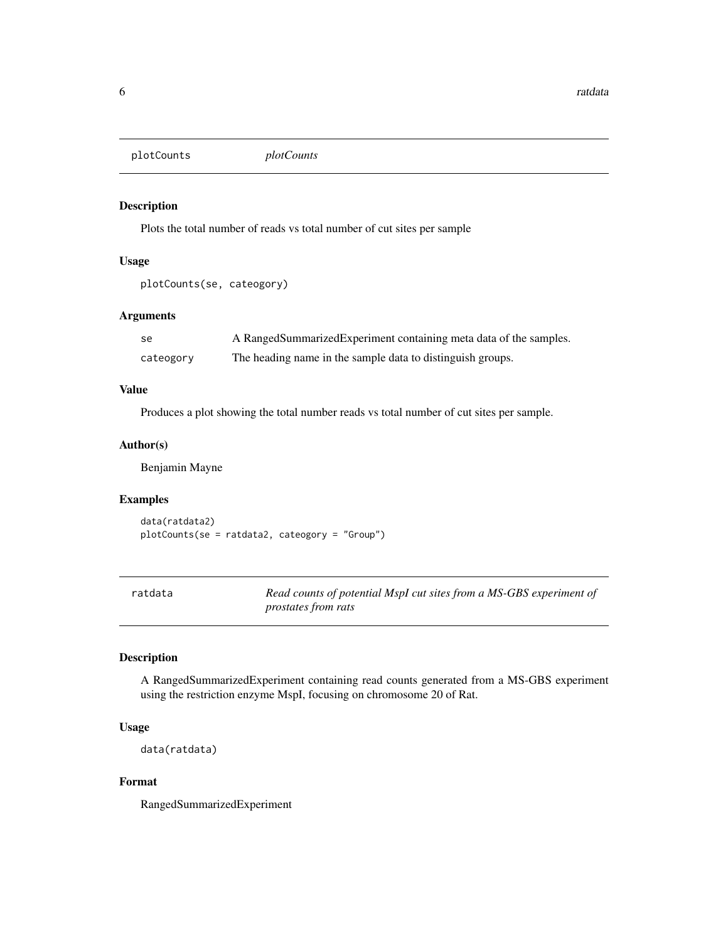<span id="page-5-0"></span>plotCounts *plotCounts*

#### Description

Plots the total number of reads vs total number of cut sites per sample

#### Usage

```
plotCounts(se, cateogory)
```
#### Arguments

| - se      | A Ranged Summarized Experiment containing meta data of the samples. |
|-----------|---------------------------------------------------------------------|
| cateogory | The heading name in the sample data to distinguish groups.          |

#### Value

Produces a plot showing the total number reads vs total number of cut sites per sample.

#### Author(s)

Benjamin Mayne

#### Examples

```
data(ratdata2)
plotCounts(se = ratdata2, cateogory = "Group")
```

| ratdata | Read counts of potential MspI cut sites from a MS-GBS experiment of |
|---------|---------------------------------------------------------------------|
|         | <i>prostates from rats</i>                                          |

#### Description

A RangedSummarizedExperiment containing read counts generated from a MS-GBS experiment using the restriction enzyme MspI, focusing on chromosome 20 of Rat.

#### Usage

```
data(ratdata)
```
#### Format

RangedSummarizedExperiment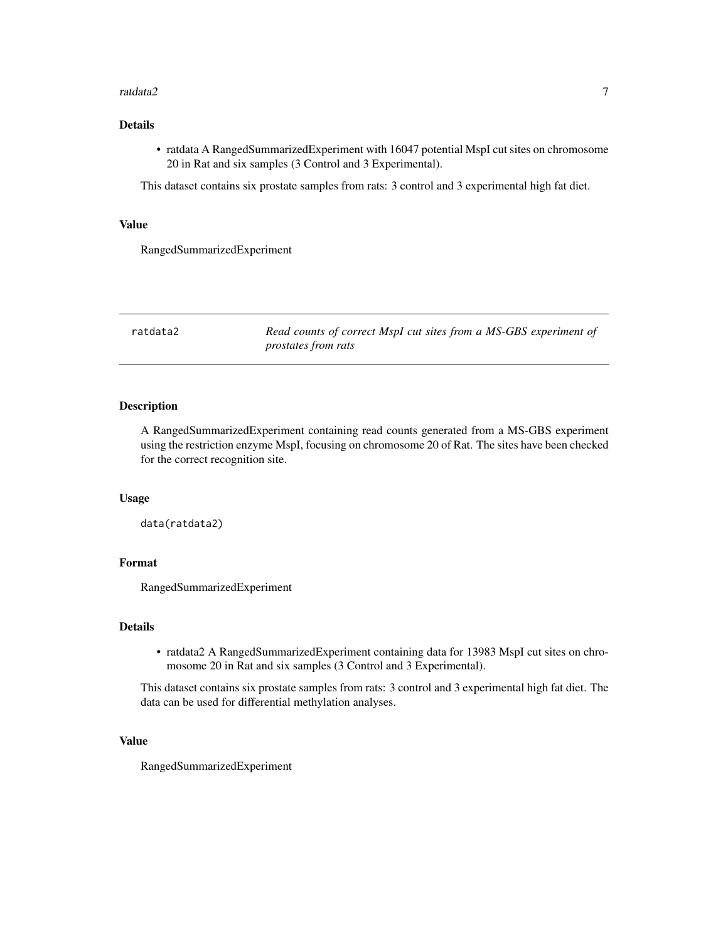#### <span id="page-6-0"></span>ratdata2 7 amateur 1999 - 1999 - 1999 - 1999 - 1999 - 1999 - 1999 - 1999 - 1999 - 1999 - 1999 - 1999 - 1999 - 1

#### Details

• ratdata A RangedSummarizedExperiment with 16047 potential MspI cut sites on chromosome 20 in Rat and six samples (3 Control and 3 Experimental).

This dataset contains six prostate samples from rats: 3 control and 3 experimental high fat diet.

#### Value

RangedSummarizedExperiment

ratdata2 *Read counts of correct MspI cut sites from a MS-GBS experiment of prostates from rats*

#### Description

A RangedSummarizedExperiment containing read counts generated from a MS-GBS experiment using the restriction enzyme MspI, focusing on chromosome 20 of Rat. The sites have been checked for the correct recognition site.

#### Usage

data(ratdata2)

#### Format

RangedSummarizedExperiment

#### Details

• ratdata2 A RangedSummarizedExperiment containing data for 13983 MspI cut sites on chromosome 20 in Rat and six samples (3 Control and 3 Experimental).

This dataset contains six prostate samples from rats: 3 control and 3 experimental high fat diet. The data can be used for differential methylation analyses.

#### Value

RangedSummarizedExperiment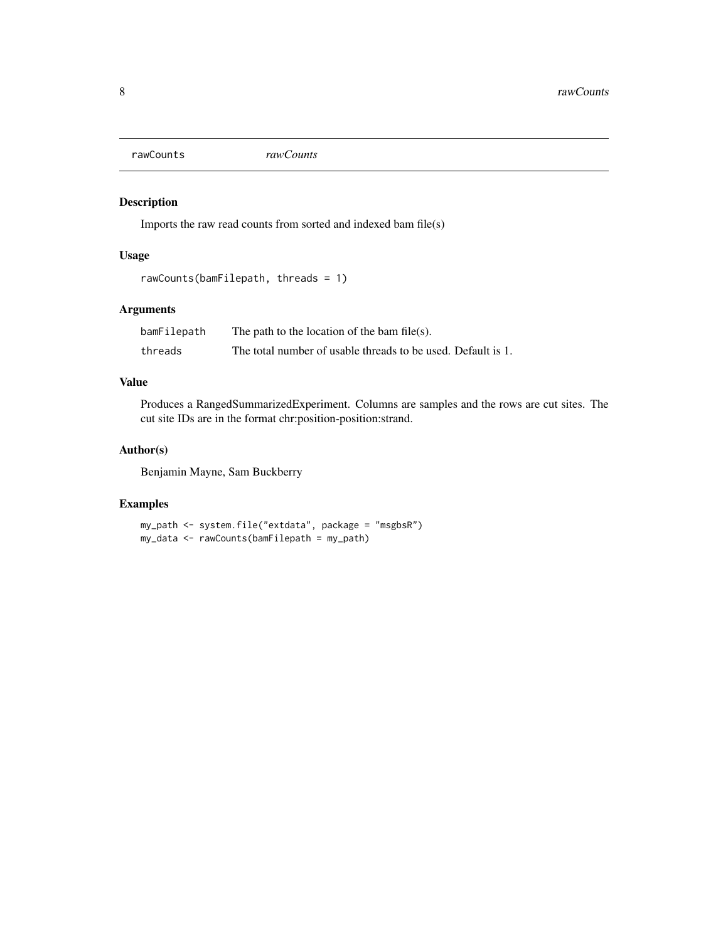<span id="page-7-0"></span>rawCounts *rawCounts*

#### Description

Imports the raw read counts from sorted and indexed bam file(s)

#### Usage

```
rawCounts(bamFilepath, threads = 1)
```
#### Arguments

| bamFilepath | The path to the location of the bam file(s).                 |
|-------------|--------------------------------------------------------------|
| threads     | The total number of usable threads to be used. Default is 1. |

#### Value

Produces a RangedSummarizedExperiment. Columns are samples and the rows are cut sites. The cut site IDs are in the format chr:position-position:strand.

#### Author(s)

Benjamin Mayne, Sam Buckberry

#### Examples

```
my_path <- system.file("extdata", package = "msgbsR")
my_data <- rawCounts(bamFilepath = my_path)
```